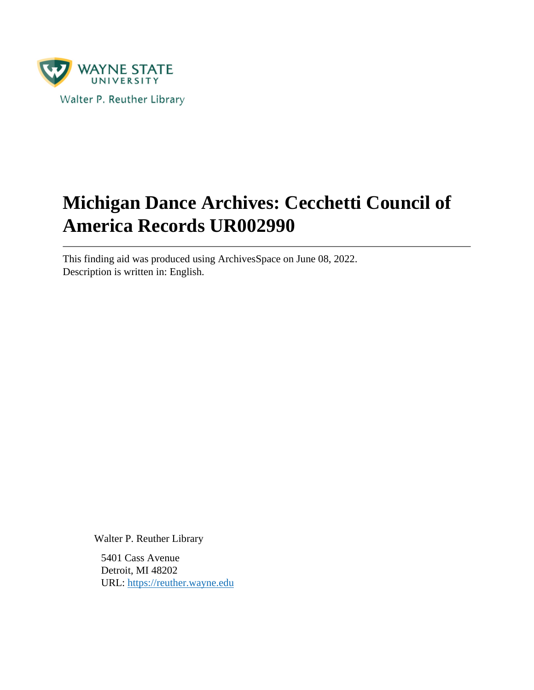

# **Michigan Dance Archives: Cecchetti Council of America Records UR002990**

This finding aid was produced using ArchivesSpace on June 08, 2022. Description is written in: English.

Walter P. Reuther Library

5401 Cass Avenue Detroit, MI 48202 URL:<https://reuther.wayne.edu>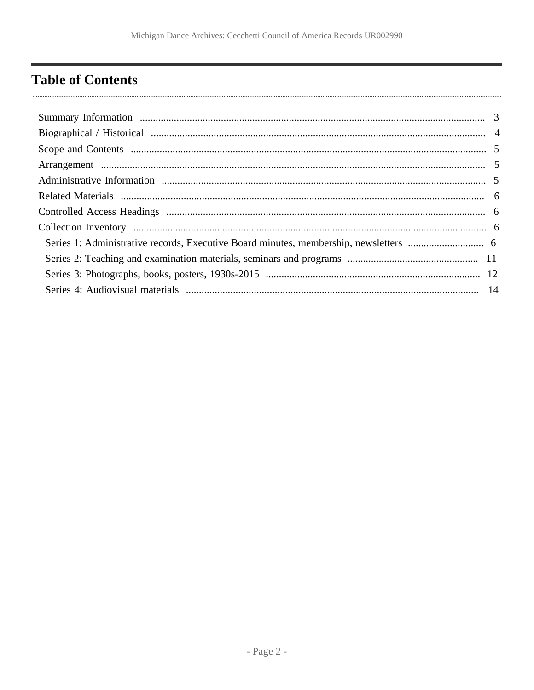## <span id="page-1-0"></span>**Table of Contents**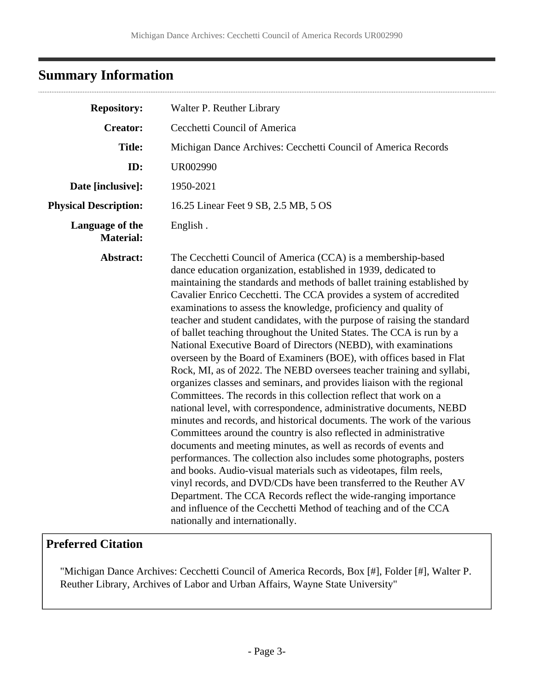## <span id="page-2-0"></span>**Summary Information**

| <b>Repository:</b>                  | Walter P. Reuther Library                                                                                                                                                                                                                                                                                                                                                                                                                                                                                                                                                                                                                                                                                                                                                                                                                                                                                                                                                                                                                                                                                                                                                                                                                                                                                                                                                                                                                                                                                                                                         |  |
|-------------------------------------|-------------------------------------------------------------------------------------------------------------------------------------------------------------------------------------------------------------------------------------------------------------------------------------------------------------------------------------------------------------------------------------------------------------------------------------------------------------------------------------------------------------------------------------------------------------------------------------------------------------------------------------------------------------------------------------------------------------------------------------------------------------------------------------------------------------------------------------------------------------------------------------------------------------------------------------------------------------------------------------------------------------------------------------------------------------------------------------------------------------------------------------------------------------------------------------------------------------------------------------------------------------------------------------------------------------------------------------------------------------------------------------------------------------------------------------------------------------------------------------------------------------------------------------------------------------------|--|
| <b>Creator:</b>                     | Cecchetti Council of America                                                                                                                                                                                                                                                                                                                                                                                                                                                                                                                                                                                                                                                                                                                                                                                                                                                                                                                                                                                                                                                                                                                                                                                                                                                                                                                                                                                                                                                                                                                                      |  |
| <b>Title:</b>                       | Michigan Dance Archives: Cecchetti Council of America Records                                                                                                                                                                                                                                                                                                                                                                                                                                                                                                                                                                                                                                                                                                                                                                                                                                                                                                                                                                                                                                                                                                                                                                                                                                                                                                                                                                                                                                                                                                     |  |
| ID:                                 | <b>UR002990</b>                                                                                                                                                                                                                                                                                                                                                                                                                                                                                                                                                                                                                                                                                                                                                                                                                                                                                                                                                                                                                                                                                                                                                                                                                                                                                                                                                                                                                                                                                                                                                   |  |
| Date [inclusive]:                   | 1950-2021                                                                                                                                                                                                                                                                                                                                                                                                                                                                                                                                                                                                                                                                                                                                                                                                                                                                                                                                                                                                                                                                                                                                                                                                                                                                                                                                                                                                                                                                                                                                                         |  |
| <b>Physical Description:</b>        | 16.25 Linear Feet 9 SB, 2.5 MB, 5 OS                                                                                                                                                                                                                                                                                                                                                                                                                                                                                                                                                                                                                                                                                                                                                                                                                                                                                                                                                                                                                                                                                                                                                                                                                                                                                                                                                                                                                                                                                                                              |  |
| Language of the<br><b>Material:</b> | English.                                                                                                                                                                                                                                                                                                                                                                                                                                                                                                                                                                                                                                                                                                                                                                                                                                                                                                                                                                                                                                                                                                                                                                                                                                                                                                                                                                                                                                                                                                                                                          |  |
| Abstract:                           | The Cecchetti Council of America (CCA) is a membership-based<br>dance education organization, established in 1939, dedicated to<br>maintaining the standards and methods of ballet training established by<br>Cavalier Enrico Cecchetti. The CCA provides a system of accredited<br>examinations to assess the knowledge, proficiency and quality of<br>teacher and student candidates, with the purpose of raising the standard<br>of ballet teaching throughout the United States. The CCA is run by a<br>National Executive Board of Directors (NEBD), with examinations<br>overseen by the Board of Examiners (BOE), with offices based in Flat<br>Rock, MI, as of 2022. The NEBD oversees teacher training and syllabi,<br>organizes classes and seminars, and provides liaison with the regional<br>Committees. The records in this collection reflect that work on a<br>national level, with correspondence, administrative documents, NEBD<br>minutes and records, and historical documents. The work of the various<br>Committees around the country is also reflected in administrative<br>documents and meeting minutes, as well as records of events and<br>performances. The collection also includes some photographs, posters<br>and books. Audio-visual materials such as videotapes, film reels,<br>vinyl records, and DVD/CDs have been transferred to the Reuther AV<br>Department. The CCA Records reflect the wide-ranging importance<br>and influence of the Cecchetti Method of teaching and of the CCA<br>nationally and internationally. |  |

## **Preferred Citation**

"Michigan Dance Archives: Cecchetti Council of America Records, Box [#], Folder [#], Walter P. Reuther Library, Archives of Labor and Urban Affairs, Wayne State University"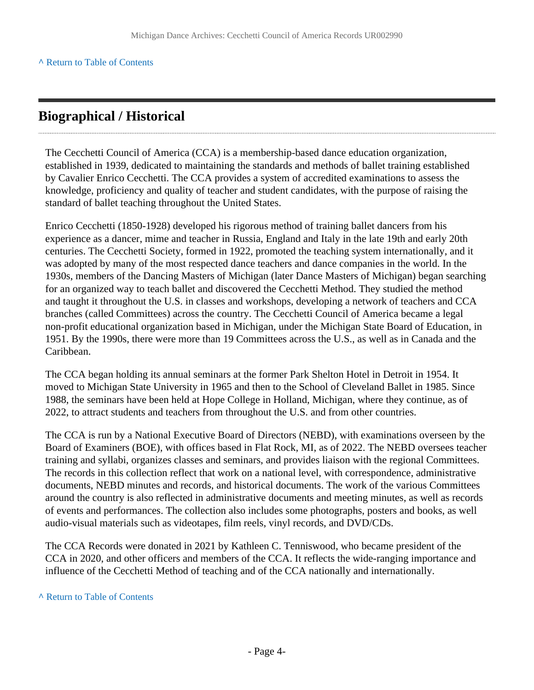## <span id="page-3-0"></span>**Biographical / Historical**

The Cecchetti Council of America (CCA) is a membership-based dance education organization, established in 1939, dedicated to maintaining the standards and methods of ballet training established by Cavalier Enrico Cecchetti. The CCA provides a system of accredited examinations to assess the knowledge, proficiency and quality of teacher and student candidates, with the purpose of raising the standard of ballet teaching throughout the United States.

Enrico Cecchetti (1850-1928) developed his rigorous method of training ballet dancers from his experience as a dancer, mime and teacher in Russia, England and Italy in the late 19th and early 20th centuries. The Cecchetti Society, formed in 1922, promoted the teaching system internationally, and it was adopted by many of the most respected dance teachers and dance companies in the world. In the 1930s, members of the Dancing Masters of Michigan (later Dance Masters of Michigan) began searching for an organized way to teach ballet and discovered the Cecchetti Method. They studied the method and taught it throughout the U.S. in classes and workshops, developing a network of teachers and CCA branches (called Committees) across the country. The Cecchetti Council of America became a legal non-profit educational organization based in Michigan, under the Michigan State Board of Education, in 1951. By the 1990s, there were more than 19 Committees across the U.S., as well as in Canada and the Caribbean.

The CCA began holding its annual seminars at the former Park Shelton Hotel in Detroit in 1954. It moved to Michigan State University in 1965 and then to the School of Cleveland Ballet in 1985. Since 1988, the seminars have been held at Hope College in Holland, Michigan, where they continue, as of 2022, to attract students and teachers from throughout the U.S. and from other countries.

The CCA is run by a National Executive Board of Directors (NEBD), with examinations overseen by the Board of Examiners (BOE), with offices based in Flat Rock, MI, as of 2022. The NEBD oversees teacher training and syllabi, organizes classes and seminars, and provides liaison with the regional Committees. The records in this collection reflect that work on a national level, with correspondence, administrative documents, NEBD minutes and records, and historical documents. The work of the various Committees around the country is also reflected in administrative documents and meeting minutes, as well as records of events and performances. The collection also includes some photographs, posters and books, as well audio-visual materials such as videotapes, film reels, vinyl records, and DVD/CDs.

The CCA Records were donated in 2021 by Kathleen C. Tenniswood, who became president of the CCA in 2020, and other officers and members of the CCA. It reflects the wide-ranging importance and influence of the Cecchetti Method of teaching and of the CCA nationally and internationally.

#### **^** [Return to Table of Contents](#page-1-0)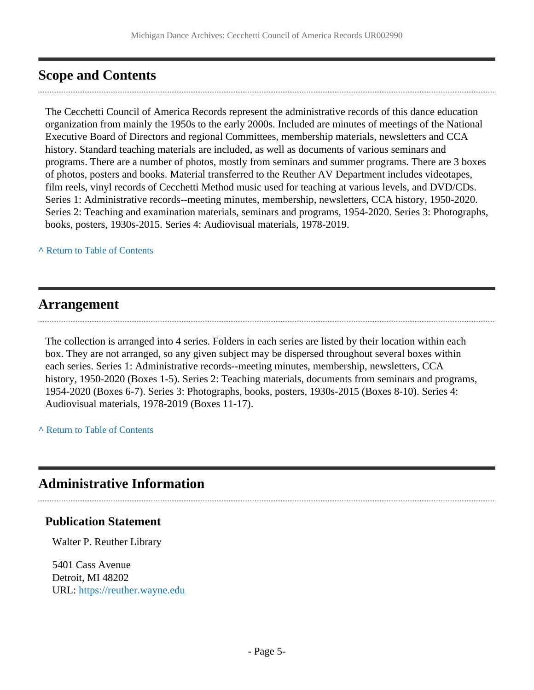## <span id="page-4-0"></span>**Scope and Contents**

The Cecchetti Council of America Records represent the administrative records of this dance education organization from mainly the 1950s to the early 2000s. Included are minutes of meetings of the National Executive Board of Directors and regional Committees, membership materials, newsletters and CCA history. Standard teaching materials are included, as well as documents of various seminars and programs. There are a number of photos, mostly from seminars and summer programs. There are 3 boxes of photos, posters and books. Material transferred to the Reuther AV Department includes videotapes, film reels, vinyl records of Cecchetti Method music used for teaching at various levels, and DVD/CDs. Series 1: Administrative records--meeting minutes, membership, newsletters, CCA history, 1950-2020. Series 2: Teaching and examination materials, seminars and programs, 1954-2020. Series 3: Photographs, books, posters, 1930s-2015. Series 4: Audiovisual materials, 1978-2019.

**^** [Return to Table of Contents](#page-1-0)

#### <span id="page-4-1"></span>**Arrangement**

The collection is arranged into 4 series. Folders in each series are listed by their location within each box. They are not arranged, so any given subject may be dispersed throughout several boxes within each series. Series 1: Administrative records--meeting minutes, membership, newsletters, CCA history, 1950-2020 (Boxes 1-5). Series 2: Teaching materials, documents from seminars and programs, 1954-2020 (Boxes 6-7). Series 3: Photographs, books, posters, 1930s-2015 (Boxes 8-10). Series 4: Audiovisual materials, 1978-2019 (Boxes 11-17).

**^** [Return to Table of Contents](#page-1-0)

### <span id="page-4-2"></span>**Administrative Information**

#### **Publication Statement**

Walter P. Reuther Library

5401 Cass Avenue Detroit, MI 48202 URL:<https://reuther.wayne.edu>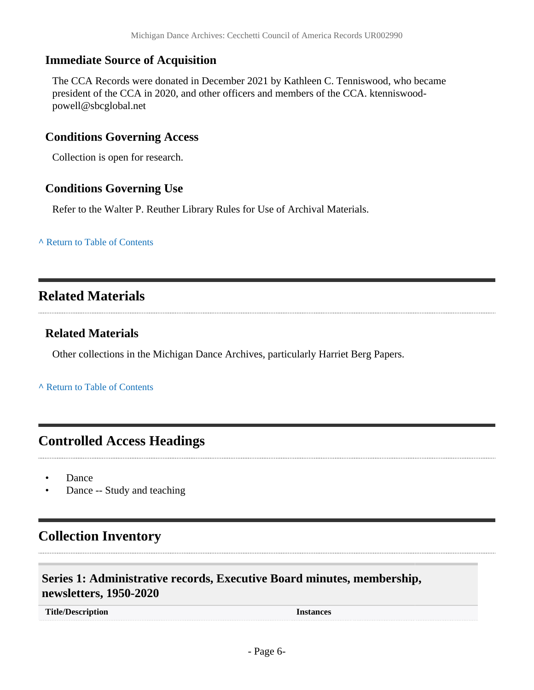#### **Immediate Source of Acquisition**

The CCA Records were donated in December 2021 by Kathleen C. Tenniswood, who became president of the CCA in 2020, and other officers and members of the CCA. ktenniswoodpowell@sbcglobal.net

#### **Conditions Governing Access**

Collection is open for research.

#### **Conditions Governing Use**

Refer to the Walter P. Reuther Library Rules for Use of Archival Materials.

**^** [Return to Table of Contents](#page-1-0)

## <span id="page-5-0"></span>**Related Materials**

#### **Related Materials**

Other collections in the Michigan Dance Archives, particularly Harriet Berg Papers.

**^** [Return to Table of Contents](#page-1-0)

## <span id="page-5-1"></span>**Controlled Access Headings**

- Dance
- Dance -- Study and teaching

## <span id="page-5-2"></span>**Collection Inventory**

### <span id="page-5-3"></span>**Series 1: Administrative records, Executive Board minutes, membership, newsletters, 1950-2020**

**Title/Description Instances**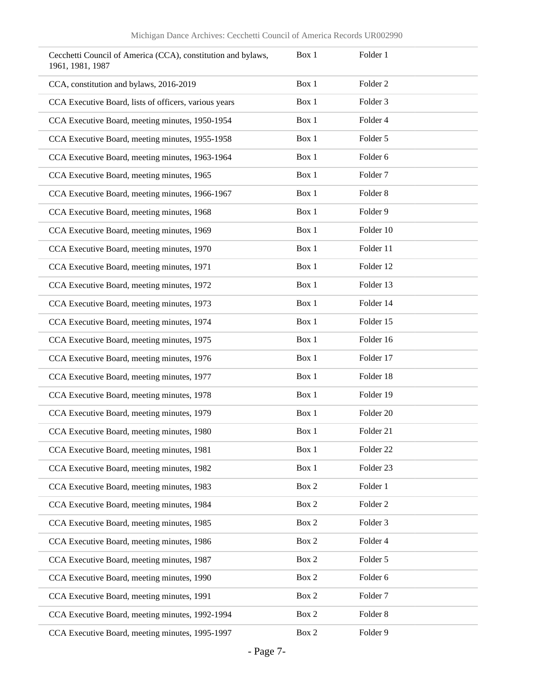| Cecchetti Council of America (CCA), constitution and bylaws,<br>1961, 1981, 1987 | Box 1 | Folder 1             |
|----------------------------------------------------------------------------------|-------|----------------------|
| CCA, constitution and bylaws, 2016-2019                                          | Box 1 | Folder <sub>2</sub>  |
| CCA Executive Board, lists of officers, various years                            | Box 1 | Folder 3             |
| CCA Executive Board, meeting minutes, 1950-1954                                  | Box 1 | Folder 4             |
| CCA Executive Board, meeting minutes, 1955-1958                                  | Box 1 | Folder 5             |
| CCA Executive Board, meeting minutes, 1963-1964                                  | Box 1 | Folder 6             |
| CCA Executive Board, meeting minutes, 1965                                       | Box 1 | Folder <sub>7</sub>  |
| CCA Executive Board, meeting minutes, 1966-1967                                  | Box 1 | Folder <sub>8</sub>  |
| CCA Executive Board, meeting minutes, 1968                                       | Box 1 | Folder 9             |
| CCA Executive Board, meeting minutes, 1969                                       | Box 1 | Folder 10            |
| CCA Executive Board, meeting minutes, 1970                                       | Box 1 | Folder 11            |
| CCA Executive Board, meeting minutes, 1971                                       | Box 1 | Folder 12            |
| CCA Executive Board, meeting minutes, 1972                                       | Box 1 | Folder 13            |
| CCA Executive Board, meeting minutes, 1973                                       | Box 1 | Folder 14            |
| CCA Executive Board, meeting minutes, 1974                                       | Box 1 | Folder 15            |
| CCA Executive Board, meeting minutes, 1975                                       | Box 1 | Folder 16            |
| CCA Executive Board, meeting minutes, 1976                                       | Box 1 | Folder 17            |
| CCA Executive Board, meeting minutes, 1977                                       | Box 1 | Folder 18            |
| CCA Executive Board, meeting minutes, 1978                                       | Box 1 | Folder 19            |
| CCA Executive Board, meeting minutes, 1979                                       | Box 1 | Folder <sub>20</sub> |
| CCA Executive Board, meeting minutes, 1980                                       | Box 1 | Folder 21            |
| CCA Executive Board, meeting minutes, 1981                                       | Box 1 | Folder <sub>22</sub> |
| CCA Executive Board, meeting minutes, 1982                                       | Box 1 | Folder 23            |
| CCA Executive Board, meeting minutes, 1983                                       | Box 2 | Folder 1             |
| CCA Executive Board, meeting minutes, 1984                                       | Box 2 | Folder <sub>2</sub>  |
| CCA Executive Board, meeting minutes, 1985                                       | Box 2 | Folder 3             |
| CCA Executive Board, meeting minutes, 1986                                       | Box 2 | Folder 4             |
| CCA Executive Board, meeting minutes, 1987                                       | Box 2 | Folder 5             |
| CCA Executive Board, meeting minutes, 1990                                       | Box 2 | Folder 6             |
| CCA Executive Board, meeting minutes, 1991                                       | Box 2 | Folder <sub>7</sub>  |
| CCA Executive Board, meeting minutes, 1992-1994                                  | Box 2 | Folder 8             |
| CCA Executive Board, meeting minutes, 1995-1997                                  | Box 2 | Folder 9             |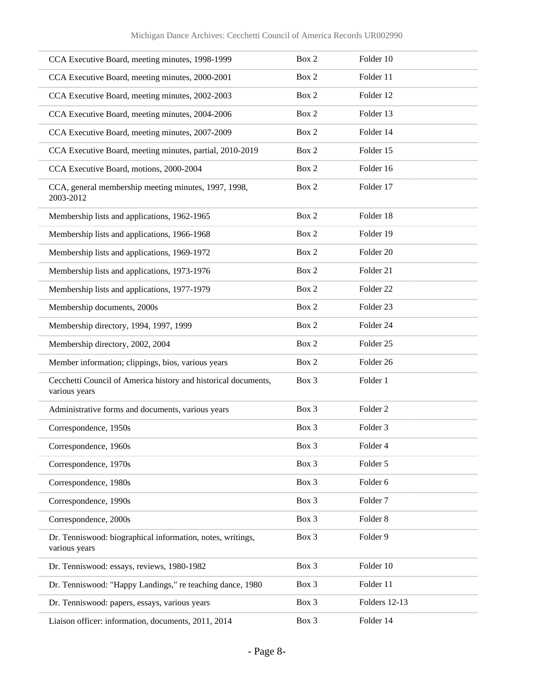| CCA Executive Board, meeting minutes, 1998-1999                                 | Box 2 | Folder 10            |
|---------------------------------------------------------------------------------|-------|----------------------|
| CCA Executive Board, meeting minutes, 2000-2001                                 | Box 2 | Folder 11            |
| CCA Executive Board, meeting minutes, 2002-2003                                 | Box 2 | Folder 12            |
| CCA Executive Board, meeting minutes, 2004-2006                                 | Box 2 | Folder 13            |
| CCA Executive Board, meeting minutes, 2007-2009                                 | Box 2 | Folder 14            |
| CCA Executive Board, meeting minutes, partial, 2010-2019                        | Box 2 | Folder 15            |
| CCA Executive Board, motions, 2000-2004                                         | Box 2 | Folder 16            |
| CCA, general membership meeting minutes, 1997, 1998,<br>2003-2012               | Box 2 | Folder 17            |
| Membership lists and applications, 1962-1965                                    | Box 2 | Folder 18            |
| Membership lists and applications, 1966-1968                                    | Box 2 | Folder 19            |
| Membership lists and applications, 1969-1972                                    | Box 2 | Folder 20            |
| Membership lists and applications, 1973-1976                                    | Box 2 | Folder 21            |
| Membership lists and applications, 1977-1979                                    | Box 2 | Folder <sub>22</sub> |
| Membership documents, 2000s                                                     | Box 2 | Folder 23            |
| Membership directory, 1994, 1997, 1999                                          | Box 2 | Folder 24            |
| Membership directory, 2002, 2004                                                | Box 2 | Folder <sub>25</sub> |
| Member information; clippings, bios, various years                              | Box 2 | Folder 26            |
| Cecchetti Council of America history and historical documents,<br>various years | Box 3 | Folder 1             |
| Administrative forms and documents, various years                               | Box 3 | Folder <sub>2</sub>  |
| Correspondence, 1950s                                                           | Box 3 | Folder 3             |
| Correspondence, 1960s                                                           | Box 3 | Folder 4             |
| Correspondence, 1970s                                                           | Box 3 | Folder 5             |
| Correspondence, 1980s                                                           | Box 3 | Folder 6             |
| Correspondence, 1990s                                                           | Box 3 | Folder <sub>7</sub>  |
| Correspondence, 2000s                                                           | Box 3 | Folder <sub>8</sub>  |
| Dr. Tenniswood: biographical information, notes, writings,<br>various years     | Box 3 | Folder 9             |
| Dr. Tenniswood: essays, reviews, 1980-1982                                      | Box 3 | Folder 10            |
| Dr. Tenniswood: "Happy Landings," re teaching dance, 1980                       | Box 3 | Folder 11            |
| Dr. Tenniswood: papers, essays, various years                                   | Box 3 | Folders 12-13        |
| Liaison officer: information, documents, 2011, 2014                             | Box 3 | Folder 14            |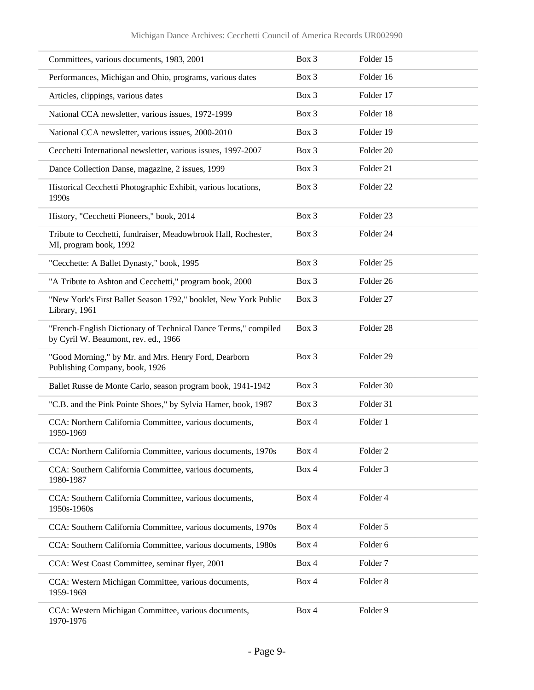| Committees, various documents, 1983, 2001                                                              | Box 3 | Folder 15            |
|--------------------------------------------------------------------------------------------------------|-------|----------------------|
| Performances, Michigan and Ohio, programs, various dates                                               | Box 3 | Folder 16            |
| Articles, clippings, various dates                                                                     | Box 3 | Folder 17            |
| National CCA newsletter, various issues, 1972-1999                                                     | Box 3 | Folder 18            |
| National CCA newsletter, various issues, 2000-2010                                                     | Box 3 | Folder 19            |
| Cecchetti International newsletter, various issues, 1997-2007                                          | Box 3 | Folder 20            |
| Dance Collection Danse, magazine, 2 issues, 1999                                                       | Box 3 | Folder 21            |
| Historical Cecchetti Photographic Exhibit, various locations,<br>1990s                                 | Box 3 | Folder <sub>22</sub> |
| History, "Cecchetti Pioneers," book, 2014                                                              | Box 3 | Folder <sub>23</sub> |
| Tribute to Cecchetti, fundraiser, Meadowbrook Hall, Rochester,<br>MI, program book, 1992               | Box 3 | Folder 24            |
| "Cecchette: A Ballet Dynasty," book, 1995                                                              | Box 3 | Folder <sub>25</sub> |
| "A Tribute to Ashton and Cecchetti," program book, 2000                                                | Box 3 | Folder <sub>26</sub> |
| "New York's First Ballet Season 1792," booklet, New York Public<br>Library, 1961                       | Box 3 | Folder 27            |
| "French-English Dictionary of Technical Dance Terms," compiled<br>by Cyril W. Beaumont, rev. ed., 1966 | Box 3 | Folder 28            |
| "Good Morning," by Mr. and Mrs. Henry Ford, Dearborn<br>Publishing Company, book, 1926                 | Box 3 | Folder 29            |
| Ballet Russe de Monte Carlo, season program book, 1941-1942                                            | Box 3 | Folder 30            |
| "C.B. and the Pink Pointe Shoes," by Sylvia Hamer, book, 1987                                          | Box 3 | Folder 31            |
| CCA: Northern California Committee, various documents,<br>1959-1969                                    | Box 4 | Folder 1             |
| CCA: Northern California Committee, various documents, 1970s                                           | Box 4 | Folder <sub>2</sub>  |
| CCA: Southern California Committee, various documents,<br>1980-1987                                    | Box 4 | Folder 3             |
| CCA: Southern California Committee, various documents,<br>1950s-1960s                                  | Box 4 | Folder 4             |
| CCA: Southern California Committee, various documents, 1970s                                           | Box 4 | Folder 5             |
| CCA: Southern California Committee, various documents, 1980s                                           | Box 4 | Folder 6             |
| CCA: West Coast Committee, seminar flyer, 2001                                                         | Box 4 | Folder <sub>7</sub>  |
| CCA: Western Michigan Committee, various documents,<br>1959-1969                                       | Box 4 | Folder <sub>8</sub>  |
| CCA: Western Michigan Committee, various documents,<br>1970-1976                                       | Box 4 | Folder 9             |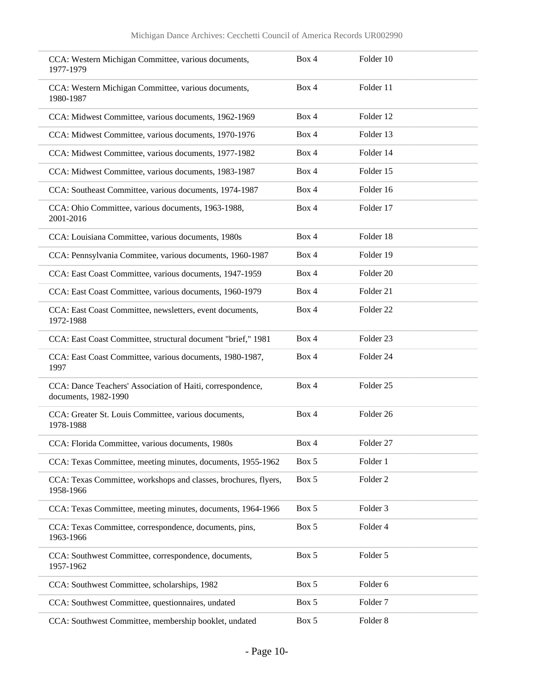| CCA: Western Michigan Committee, various documents,<br>1977-1979                   | Box 4 | Folder 10            |
|------------------------------------------------------------------------------------|-------|----------------------|
| CCA: Western Michigan Committee, various documents,<br>1980-1987                   | Box 4 | Folder 11            |
| CCA: Midwest Committee, various documents, 1962-1969                               | Box 4 | Folder 12            |
| CCA: Midwest Committee, various documents, 1970-1976                               | Box 4 | Folder 13            |
| CCA: Midwest Committee, various documents, 1977-1982                               | Box 4 | Folder 14            |
| CCA: Midwest Committee, various documents, 1983-1987                               | Box 4 | Folder 15            |
| CCA: Southeast Committee, various documents, 1974-1987                             | Box 4 | Folder 16            |
| CCA: Ohio Committee, various documents, 1963-1988,<br>2001-2016                    | Box 4 | Folder 17            |
| CCA: Louisiana Committee, various documents, 1980s                                 | Box 4 | Folder 18            |
| CCA: Pennsylvania Commitee, various documents, 1960-1987                           | Box 4 | Folder 19            |
| CCA: East Coast Committee, various documents, 1947-1959                            | Box 4 | Folder <sub>20</sub> |
| CCA: East Coast Committee, various documents, 1960-1979                            | Box 4 | Folder 21            |
| CCA: East Coast Committee, newsletters, event documents,<br>1972-1988              | Box 4 | Folder <sub>22</sub> |
| CCA: East Coast Committee, structural document "brief," 1981                       | Box 4 | Folder 23            |
| CCA: East Coast Committee, various documents, 1980-1987,<br>1997                   | Box 4 | Folder 24            |
| CCA: Dance Teachers' Association of Haiti, correspondence,<br>documents, 1982-1990 | Box 4 | Folder <sub>25</sub> |
| CCA: Greater St. Louis Committee, various documents,<br>1978-1988                  | Box 4 | Folder <sub>26</sub> |
| CCA: Florida Committee, various documents, 1980s                                   | Box 4 | Folder 27            |
| CCA: Texas Committee, meeting minutes, documents, 1955-1962                        | Box 5 | Folder 1             |
| CCA: Texas Committee, workshops and classes, brochures, flyers,<br>1958-1966       | Box 5 | Folder <sub>2</sub>  |
| CCA: Texas Committee, meeting minutes, documents, 1964-1966                        | Box 5 | Folder 3             |
| CCA: Texas Committee, correspondence, documents, pins,<br>1963-1966                | Box 5 | Folder 4             |
| CCA: Southwest Committee, correspondence, documents,<br>1957-1962                  | Box 5 | Folder 5             |
| CCA: Southwest Committee, scholarships, 1982                                       | Box 5 | Folder 6             |
| CCA: Southwest Committee, questionnaires, undated                                  | Box 5 | Folder <sub>7</sub>  |
| CCA: Southwest Committee, membership booklet, undated                              | Box 5 | Folder 8             |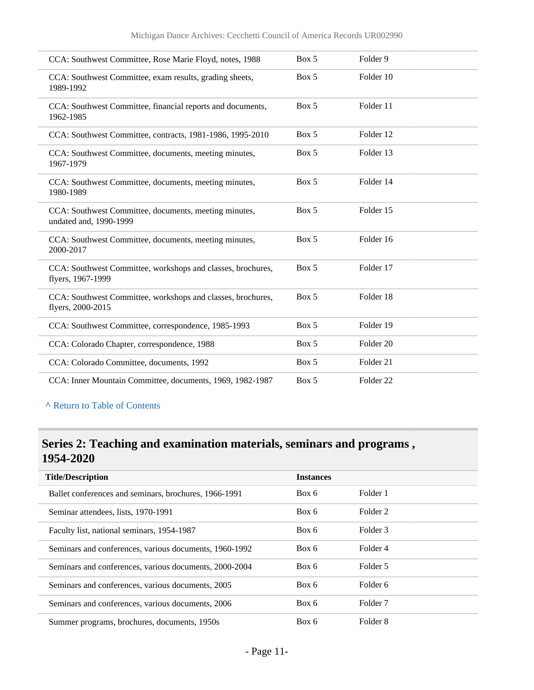| CCA: Southwest Committee, Rose Marie Floyd, notes, 1988                          | Box 5 | Folder 9             |  |
|----------------------------------------------------------------------------------|-------|----------------------|--|
| CCA: Southwest Committee, exam results, grading sheets,<br>1989-1992             | Box 5 | Folder 10            |  |
| CCA: Southwest Committee, financial reports and documents,<br>1962-1985          | Box 5 | Folder 11            |  |
| CCA: Southwest Committee, contracts, 1981-1986, 1995-2010                        | Box 5 | Folder 12            |  |
| CCA: Southwest Committee, documents, meeting minutes,<br>1967-1979               | Box 5 | Folder 13            |  |
| CCA: Southwest Committee, documents, meeting minutes,<br>1980-1989               | Box 5 | Folder 14            |  |
| CCA: Southwest Committee, documents, meeting minutes,<br>undated and, 1990-1999  | Box 5 | Folder 15            |  |
| CCA: Southwest Committee, documents, meeting minutes,<br>2000-2017               | Box 5 | Folder 16            |  |
| CCA: Southwest Committee, workshops and classes, brochures,<br>flyers, 1967-1999 | Box 5 | Folder 17            |  |
| CCA: Southwest Committee, workshops and classes, brochures,<br>flyers, 2000-2015 | Box 5 | Folder 18            |  |
| CCA: Southwest Committee, correspondence, 1985-1993                              | Box 5 | Folder 19            |  |
| CCA: Colorado Chapter, correspondence, 1988                                      | Box 5 | Folder <sub>20</sub> |  |
| CCA: Colorado Committee, documents, 1992                                         | Box 5 | Folder 21            |  |
| CCA: Inner Mountain Committee, documents, 1969, 1982-1987                        | Box 5 | Folder <sub>22</sub> |  |

## <span id="page-10-0"></span>**Series 2: Teaching and examination materials, seminars and programs , 1954-2020**

| <b>Title/Description</b>                               | <b>Instances</b> |                     |  |
|--------------------------------------------------------|------------------|---------------------|--|
| Ballet conferences and seminars, brochures, 1966-1991  | Box 6            | Folder 1            |  |
| Seminar attendees, lists, 1970-1991                    | Box 6            | Folder 2            |  |
| Faculty list, national seminars, 1954-1987             | Box 6            | Folder 3            |  |
| Seminars and conferences, various documents, 1960-1992 | Box 6            | Folder 4            |  |
| Seminars and conferences, various documents, 2000-2004 | Box 6            | Folder 5            |  |
| Seminars and conferences, various documents, 2005      | Box 6            | Folder 6            |  |
| Seminars and conferences, various documents, 2006      | Box 6            | Folder <sub>7</sub> |  |
| Summer programs, brochures, documents, 1950s           | Box 6            | Folder 8            |  |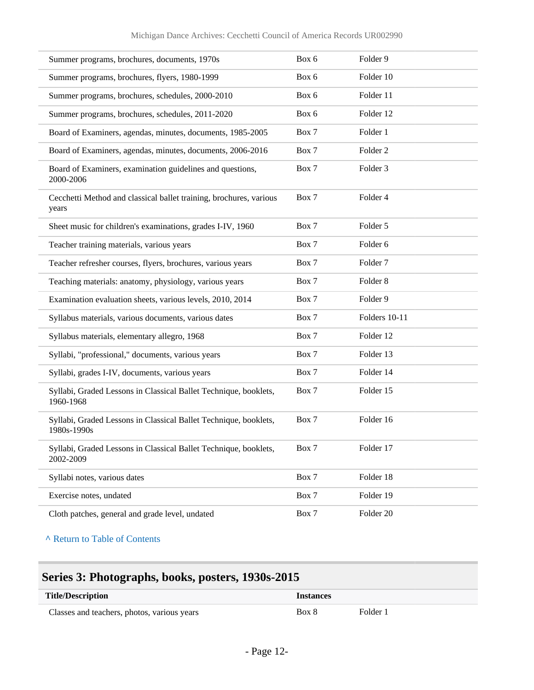| Summer programs, brochures, documents, 1970s                                    | Box 6 | Folder 9            |
|---------------------------------------------------------------------------------|-------|---------------------|
| Summer programs, brochures, flyers, 1980-1999                                   | Box 6 | Folder 10           |
| Summer programs, brochures, schedules, 2000-2010                                | Box 6 | Folder 11           |
| Summer programs, brochures, schedules, 2011-2020                                | Box 6 | Folder 12           |
| Board of Examiners, agendas, minutes, documents, 1985-2005                      | Box 7 | Folder 1            |
| Board of Examiners, agendas, minutes, documents, 2006-2016                      | Box 7 | Folder 2            |
| Board of Examiners, examination guidelines and questions,<br>2000-2006          | Box 7 | Folder 3            |
| Cecchetti Method and classical ballet training, brochures, various<br>years     | Box 7 | Folder 4            |
| Sheet music for children's examinations, grades I-IV, 1960                      | Box 7 | Folder 5            |
| Teacher training materials, various years                                       | Box 7 | Folder <sub>6</sub> |
| Teacher refresher courses, flyers, brochures, various years                     | Box 7 | Folder <sub>7</sub> |
| Teaching materials: anatomy, physiology, various years                          | Box 7 | Folder <sub>8</sub> |
| Examination evaluation sheets, various levels, 2010, 2014                       | Box 7 | Folder 9            |
| Syllabus materials, various documents, various dates                            | Box 7 | Folders 10-11       |
| Syllabus materials, elementary allegro, 1968                                    | Box 7 | Folder 12           |
| Syllabi, "professional," documents, various years                               | Box 7 | Folder 13           |
| Syllabi, grades I-IV, documents, various years                                  | Box 7 | Folder 14           |
| Syllabi, Graded Lessons in Classical Ballet Technique, booklets,<br>1960-1968   | Box 7 | Folder 15           |
| Syllabi, Graded Lessons in Classical Ballet Technique, booklets,<br>1980s-1990s | Box 7 | Folder 16           |
| Syllabi, Graded Lessons in Classical Ballet Technique, booklets,<br>2002-2009   | Box 7 | Folder 17           |
| Syllabi notes, various dates                                                    | Box 7 | Folder 18           |
| Exercise notes, undated                                                         | Box 7 | Folder 19           |
| Cloth patches, general and grade level, undated                                 | Box 7 | Folder 20           |

## <span id="page-11-0"></span>**Series 3: Photographs, books, posters, 1930s-2015**

| <b>Title/Description</b>                    | <i><u><b>Instances</b></u></i> |          |  |
|---------------------------------------------|--------------------------------|----------|--|
| Classes and teachers, photos, various years | Box 8                          | Folder i |  |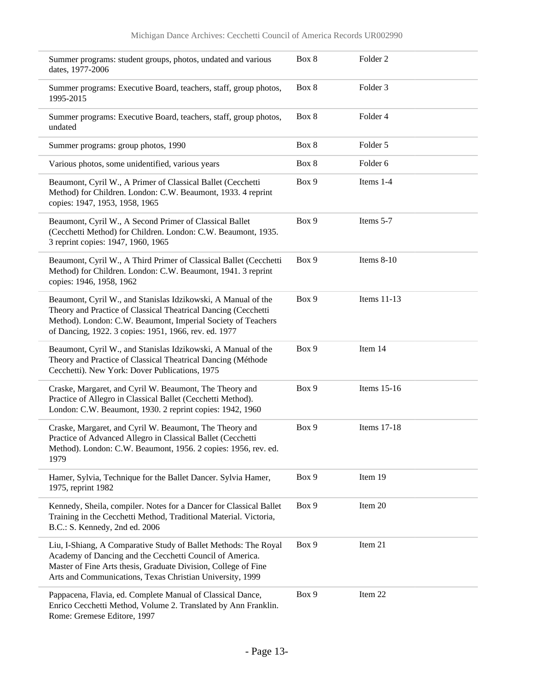| Summer programs: student groups, photos, undated and various<br>dates, 1977-2006                                                                                                                                                                           | Box 8 | Folder <sub>2</sub> |
|------------------------------------------------------------------------------------------------------------------------------------------------------------------------------------------------------------------------------------------------------------|-------|---------------------|
| Summer programs: Executive Board, teachers, staff, group photos,<br>1995-2015                                                                                                                                                                              | Box 8 | Folder 3            |
| Summer programs: Executive Board, teachers, staff, group photos,<br>undated                                                                                                                                                                                | Box 8 | Folder 4            |
| Summer programs: group photos, 1990                                                                                                                                                                                                                        | Box 8 | Folder 5            |
| Various photos, some unidentified, various years                                                                                                                                                                                                           | Box 8 | Folder 6            |
| Beaumont, Cyril W., A Primer of Classical Ballet (Cecchetti<br>Method) for Children. London: C.W. Beaumont, 1933. 4 reprint<br>copies: 1947, 1953, 1958, 1965                                                                                              | Box 9 | Items 1-4           |
| Beaumont, Cyril W., A Second Primer of Classical Ballet<br>(Cecchetti Method) for Children. London: C.W. Beaumont, 1935.<br>3 reprint copies: 1947, 1960, 1965                                                                                             | Box 9 | Items 5-7           |
| Beaumont, Cyril W., A Third Primer of Classical Ballet (Cecchetti<br>Method) for Children. London: C.W. Beaumont, 1941. 3 reprint<br>copies: 1946, 1958, 1962                                                                                              | Box 9 | Items $8-10$        |
| Beaumont, Cyril W., and Stanislas Idzikowski, A Manual of the<br>Theory and Practice of Classical Theatrical Dancing (Cecchetti<br>Method). London: C.W. Beaumont, Imperial Society of Teachers<br>of Dancing, 1922. 3 copies: 1951, 1966, rev. ed. 1977   | Box 9 | Items 11-13         |
| Beaumont, Cyril W., and Stanislas Idzikowski, A Manual of the<br>Theory and Practice of Classical Theatrical Dancing (Méthode<br>Cecchetti). New York: Dover Publications, 1975                                                                            | Box 9 | Item 14             |
| Craske, Margaret, and Cyril W. Beaumont, The Theory and<br>Practice of Allegro in Classical Ballet (Cecchetti Method).<br>London: C.W. Beaumont, 1930. 2 reprint copies: 1942, 1960                                                                        | Box 9 | Items 15-16         |
| Craske, Margaret, and Cyril W. Beaumont, The Theory and<br>Practice of Advanced Allegro in Classical Ballet (Cecchetti<br>Method). London: C.W. Beaumont, 1956. 2 copies: 1956, rev. ed.<br>1979                                                           | Box 9 | Items 17-18         |
| Hamer, Sylvia, Technique for the Ballet Dancer. Sylvia Hamer,<br>1975, reprint 1982                                                                                                                                                                        | Box 9 | Item 19             |
| Kennedy, Sheila, compiler. Notes for a Dancer for Classical Ballet<br>Training in the Cecchetti Method, Traditional Material. Victoria,<br>B.C.: S. Kennedy, 2nd ed. 2006                                                                                  | Box 9 | Item 20             |
| Liu, I-Shiang, A Comparative Study of Ballet Methods: The Royal<br>Academy of Dancing and the Cecchetti Council of America.<br>Master of Fine Arts thesis, Graduate Division, College of Fine<br>Arts and Communications, Texas Christian University, 1999 | Box 9 | Item 21             |
| Pappacena, Flavia, ed. Complete Manual of Classical Dance,<br>Enrico Cecchetti Method, Volume 2. Translated by Ann Franklin.<br>Rome: Gremese Editore, 1997                                                                                                | Box 9 | Item 22             |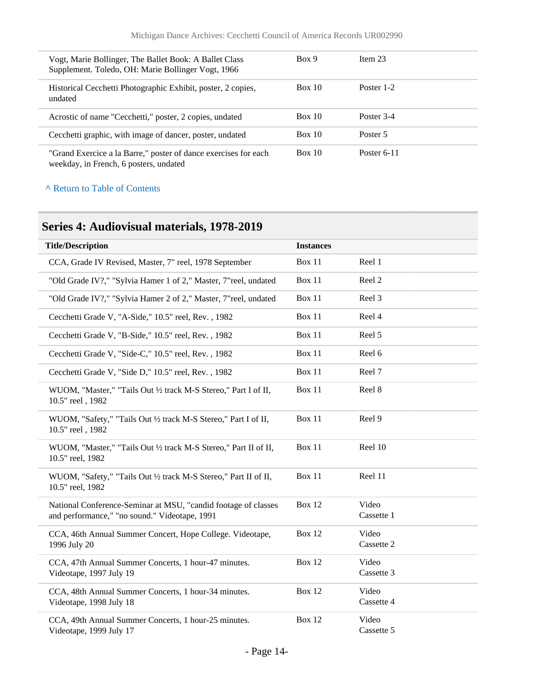| Vogt, Marie Bollinger, The Ballet Book: A Ballet Class<br>Supplement. Toledo, OH: Marie Bollinger Vogt, 1966 | Box 9  | Item $23$     |
|--------------------------------------------------------------------------------------------------------------|--------|---------------|
| Historical Cecchetti Photographic Exhibit, poster, 2 copies,<br>undated                                      | Box 10 | Poster 1-2    |
| Acrostic of name "Cecchetti," poster, 2 copies, undated                                                      | Box 10 | Poster 3-4    |
| Cecchetti graphic, with image of dancer, poster, undated                                                     | Box 10 | Poster 5      |
| "Grand Exercice a la Barre," poster of dance exercises for each<br>weekday, in French, 6 posters, undated    | Box 10 | Poster $6-11$ |

## <span id="page-13-0"></span>**Series 4: Audiovisual materials, 1978-2019**

| <b>Title/Description</b>                                                                                        | <b>Instances</b> |                     |
|-----------------------------------------------------------------------------------------------------------------|------------------|---------------------|
| CCA, Grade IV Revised, Master, 7" reel, 1978 September                                                          | Box 11           | Reel 1              |
| "Old Grade IV?," "Sylvia Hamer 1 of 2," Master, 7"reel, undated                                                 | Box 11           | Reel 2              |
| "Old Grade IV?," "Sylvia Hamer 2 of 2," Master, 7"reel, undated                                                 | Box 11           | Reel 3              |
| Cecchetti Grade V, "A-Side," 10.5" reel, Rev., 1982                                                             | <b>Box 11</b>    | Reel 4              |
| Cecchetti Grade V, "B-Side," 10.5" reel, Rev., 1982                                                             | Box 11           | Reel 5              |
| Cecchetti Grade V, "Side-C," 10.5" reel, Rev., 1982                                                             | Box 11           | Reel 6              |
| Cecchetti Grade V, "Side D," 10.5" reel, Rev., 1982                                                             | Box 11           | Reel 7              |
| WUOM, "Master," "Tails Out 1/2 track M-S Stereo," Part I of II,<br>10.5" reel, 1982                             | Box 11           | Reel 8              |
| WUOM, "Safety," "Tails Out 1/2 track M-S Stereo," Part I of II,<br>10.5" reel, 1982                             | Box 11           | Reel 9              |
| WUOM, "Master," "Tails Out 1/2 track M-S Stereo," Part II of II,<br>10.5" reel, 1982                            | Box 11           | Reel 10             |
| WUOM, "Safety," "Tails Out 1/2 track M-S Stereo," Part II of II,<br>10.5" reel, 1982                            | Box 11           | Reel 11             |
| National Conference-Seminar at MSU, "candid footage of classes<br>and performance," "no sound." Videotape, 1991 | <b>Box 12</b>    | Video<br>Cassette 1 |
| CCA, 46th Annual Summer Concert, Hope College. Videotape,<br>1996 July 20                                       | <b>Box 12</b>    | Video<br>Cassette 2 |
| CCA, 47th Annual Summer Concerts, 1 hour-47 minutes.<br>Videotape, 1997 July 19                                 | Box 12           | Video<br>Cassette 3 |
| CCA, 48th Annual Summer Concerts, 1 hour-34 minutes.<br>Videotape, 1998 July 18                                 | Box 12           | Video<br>Cassette 4 |
| CCA, 49th Annual Summer Concerts, 1 hour-25 minutes.<br>Videotape, 1999 July 17                                 | Box 12           | Video<br>Cassette 5 |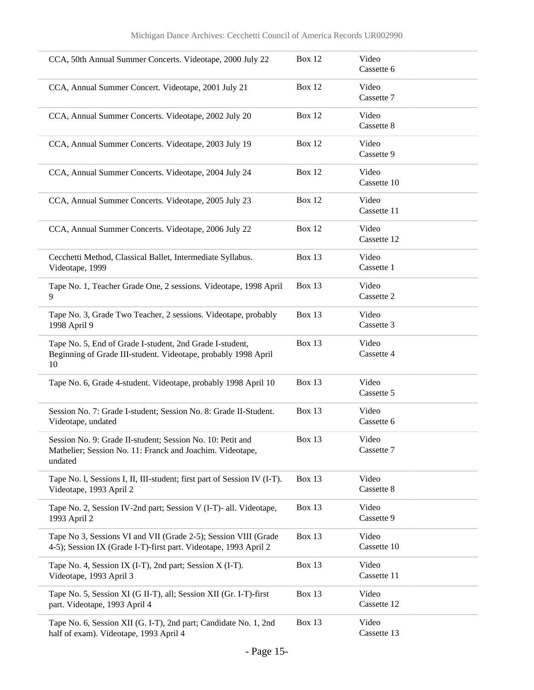| CCA, 50th Annual Summer Concerts. Videotape, 2000 July 22                                                                           | <b>Box 12</b> | Video<br>Cassette 6  |
|-------------------------------------------------------------------------------------------------------------------------------------|---------------|----------------------|
| CCA, Annual Summer Concert. Videotape, 2001 July 21                                                                                 | <b>Box 12</b> | Video<br>Cassette 7  |
| CCA, Annual Summer Concerts. Videotape, 2002 July 20                                                                                | Box 12        | Video<br>Cassette 8  |
| CCA, Annual Summer Concerts. Videotape, 2003 July 19                                                                                | Box 12        | Video<br>Cassette 9  |
| CCA, Annual Summer Concerts. Videotape, 2004 July 24                                                                                | <b>Box 12</b> | Video<br>Cassette 10 |
| CCA, Annual Summer Concerts. Videotape, 2005 July 23                                                                                | <b>Box 12</b> | Video<br>Cassette 11 |
| CCA, Annual Summer Concerts. Videotape, 2006 July 22                                                                                | <b>Box 12</b> | Video<br>Cassette 12 |
| Cecchetti Method, Classical Ballet, Intermediate Syllabus.<br>Videotape, 1999                                                       | Box 13        | Video<br>Cassette 1  |
| Tape No. 1, Teacher Grade One, 2 sessions. Videotape, 1998 April<br>9                                                               | Box 13        | Video<br>Cassette 2  |
| Tape No. 3, Grade Two Teacher, 2 sessions. Videotape, probably<br>1998 April 9                                                      | Box 13        | Video<br>Cassette 3  |
| Tape No. 5, End of Grade I-student, 2nd Grade I-student,<br>Beginning of Grade III-student. Videotape, probably 1998 April<br>10    | <b>Box 13</b> | Video<br>Cassette 4  |
| Tape No. 6, Grade 4-student. Videotape, probably 1998 April 10                                                                      | Box 13        | Video<br>Cassette 5  |
| Session No. 7: Grade I-student; Session No. 8: Grade II-Student.<br>Videotape, undated                                              | Box 13        | Video<br>Cassette 6  |
| Session No. 9: Grade II-student; Session No. 10: Petit and<br>Mathelier; Session No. 11: Franck and Joachim. Videotape,<br>undated  | Box $13$      | Video<br>Cassette 7  |
| Tape No. 1, Sessions I, II, III-student; first part of Session IV (I-T).<br>Videotape, 1993 April 2                                 | Box 13        | Video<br>Cassette 8  |
| Tape No. 2, Session IV-2nd part; Session V (I-T)- all. Videotape,<br>1993 April 2                                                   | Box 13        | Video<br>Cassette 9  |
| Tape No 3, Sessions VI and VII (Grade 2-5); Session VIII (Grade<br>4-5); Session IX (Grade I-T)-first part. Videotape, 1993 April 2 | <b>Box 13</b> | Video<br>Cassette 10 |
| Tape No. 4, Session IX (I-T), 2nd part; Session X (I-T).<br>Videotape, 1993 April 3                                                 | <b>Box 13</b> | Video<br>Cassette 11 |
| Tape No. 5, Session XI (G II-T), all; Session XII (Gr. I-T)-first<br>part. Videotape, 1993 April 4                                  | Box 13        | Video<br>Cassette 12 |
| Tape No. 6, Session XII (G. I-T), 2nd part; Candidate No. 1, 2nd<br>half of exam). Videotape, 1993 April 4                          | Box 13        | Video<br>Cassette 13 |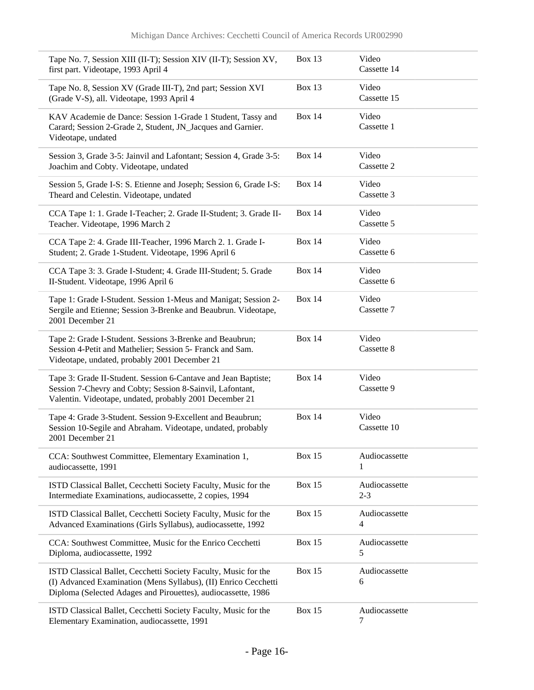| Tape No. 7, Session XIII (II-T); Session XIV (II-T); Session XV,<br>first part. Videotape, 1993 April 4                                                                                             | <b>Box 13</b> | Video<br>Cassette 14     |
|-----------------------------------------------------------------------------------------------------------------------------------------------------------------------------------------------------|---------------|--------------------------|
| Tape No. 8, Session XV (Grade III-T), 2nd part; Session XVI<br>(Grade V-S), all. Videotape, 1993 April 4                                                                                            | Box $13$      | Video<br>Cassette 15     |
| KAV Academie de Dance: Session 1-Grade 1 Student, Tassy and<br>Carard; Session 2-Grade 2, Student, JN_Jacques and Garnier.<br>Videotape, undated                                                    | <b>Box 14</b> | Video<br>Cassette 1      |
| Session 3, Grade 3-5: Jainvil and Lafontant; Session 4, Grade 3-5:<br>Joachim and Cobty. Videotape, undated                                                                                         | <b>Box 14</b> | Video<br>Cassette 2      |
| Session 5, Grade I-S: S. Etienne and Joseph; Session 6, Grade I-S:<br>Theard and Celestin. Videotape, undated                                                                                       | <b>Box 14</b> | Video<br>Cassette 3      |
| CCA Tape 1: 1. Grade I-Teacher; 2. Grade II-Student; 3. Grade II-<br>Teacher. Videotape, 1996 March 2                                                                                               | <b>Box 14</b> | Video<br>Cassette 5      |
| CCA Tape 2: 4. Grade III-Teacher, 1996 March 2. 1. Grade I-<br>Student; 2. Grade 1-Student. Videotape, 1996 April 6                                                                                 | <b>Box 14</b> | Video<br>Cassette 6      |
| CCA Tape 3: 3. Grade I-Student; 4. Grade III-Student; 5. Grade<br>II-Student. Videotape, 1996 April 6                                                                                               | <b>Box 14</b> | Video<br>Cassette 6      |
| Tape 1: Grade I-Student. Session 1-Meus and Manigat; Session 2-<br>Sergile and Etienne; Session 3-Brenke and Beaubrun. Videotape,<br>2001 December 21                                               | <b>Box 14</b> | Video<br>Cassette 7      |
| Tape 2: Grade I-Student. Sessions 3-Brenke and Beaubrun;<br>Session 4-Petit and Mathelier; Session 5- Franck and Sam.<br>Videotape, undated, probably 2001 December 21                              | <b>Box 14</b> | Video<br>Cassette 8      |
| Tape 3: Grade II-Student. Session 6-Cantave and Jean Baptiste;<br>Session 7-Chevry and Cobty; Session 8-Sainvil, Lafontant,<br>Valentin. Videotape, undated, probably 2001 December 21              | <b>Box 14</b> | Video<br>Cassette 9      |
| Tape 4: Grade 3-Student. Session 9-Excellent and Beaubrun;<br>Session 10-Segile and Abraham. Videotape, undated, probably<br>2001 December 21                                                       | <b>Box 14</b> | Video<br>Cassette 10     |
| CCA: Southwest Committee, Elementary Examination 1,<br>audiocassette, 1991                                                                                                                          | <b>Box 15</b> | Audiocassette<br>1       |
| ISTD Classical Ballet, Cecchetti Society Faculty, Music for the<br>Intermediate Examinations, audiocassette, 2 copies, 1994                                                                         | <b>Box 15</b> | Audiocassette<br>$2 - 3$ |
| ISTD Classical Ballet, Cecchetti Society Faculty, Music for the<br>Advanced Examinations (Girls Syllabus), audiocassette, 1992                                                                      | <b>Box 15</b> | Audiocassette<br>4       |
| CCA: Southwest Committee, Music for the Enrico Cecchetti<br>Diploma, audiocassette, 1992                                                                                                            | <b>Box 15</b> | Audiocassette<br>5       |
| ISTD Classical Ballet, Cecchetti Society Faculty, Music for the<br>(I) Advanced Examination (Mens Syllabus), (II) Enrico Cecchetti<br>Diploma (Selected Adages and Pirouettes), audiocassette, 1986 | <b>Box 15</b> | Audiocassette<br>6       |
| ISTD Classical Ballet, Cecchetti Society Faculty, Music for the<br>Elementary Examination, audiocassette, 1991                                                                                      | <b>Box 15</b> | Audiocassette<br>7       |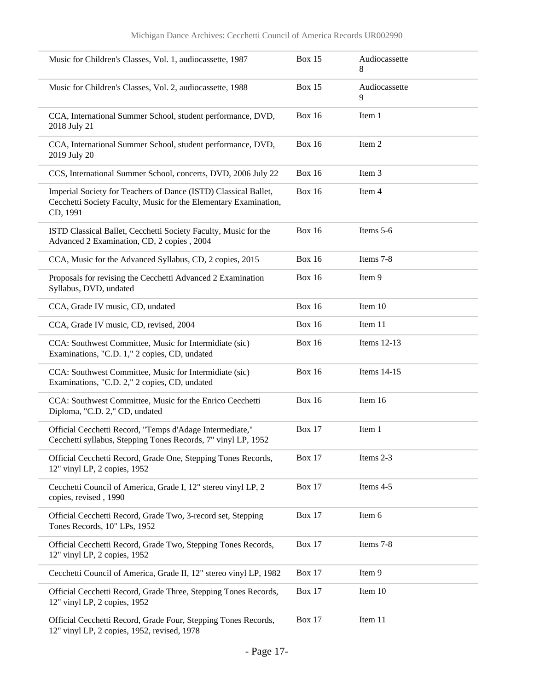| Music for Children's Classes, Vol. 1, audiocassette, 1987                                                                                       | <b>Box 15</b> | Audiocassette<br>8 |
|-------------------------------------------------------------------------------------------------------------------------------------------------|---------------|--------------------|
| Music for Children's Classes, Vol. 2, audiocassette, 1988                                                                                       | <b>Box 15</b> | Audiocassette<br>9 |
| CCA, International Summer School, student performance, DVD,<br>2018 July 21                                                                     | <b>Box 16</b> | Item 1             |
| CCA, International Summer School, student performance, DVD,<br>2019 July 20                                                                     | <b>Box 16</b> | Item 2             |
| CCS, International Summer School, concerts, DVD, 2006 July 22                                                                                   | <b>Box 16</b> | Item 3             |
| Imperial Society for Teachers of Dance (ISTD) Classical Ballet,<br>Cecchetti Society Faculty, Music for the Elementary Examination,<br>CD, 1991 | <b>Box 16</b> | Item 4             |
| ISTD Classical Ballet, Cecchetti Society Faculty, Music for the<br>Advanced 2 Examination, CD, 2 copies, 2004                                   | <b>Box 16</b> | Items 5-6          |
| CCA, Music for the Advanced Syllabus, CD, 2 copies, 2015                                                                                        | <b>Box 16</b> | Items 7-8          |
| Proposals for revising the Cecchetti Advanced 2 Examination<br>Syllabus, DVD, undated                                                           | <b>Box 16</b> | Item 9             |
| CCA, Grade IV music, CD, undated                                                                                                                | <b>Box 16</b> | Item 10            |
| CCA, Grade IV music, CD, revised, 2004                                                                                                          | <b>Box 16</b> | Item 11            |
| CCA: Southwest Committee, Music for Intermidiate (sic)<br>Examinations, "C.D. 1," 2 copies, CD, undated                                         | <b>Box 16</b> | Items 12-13        |
| CCA: Southwest Committee, Music for Intermidiate (sic)<br>Examinations, "C.D. 2," 2 copies, CD, undated                                         | <b>Box 16</b> | Items 14-15        |
| CCA: Southwest Committee, Music for the Enrico Cecchetti<br>Diploma, "C.D. 2," CD, undated                                                      | <b>Box 16</b> | Item 16            |
| Official Cecchetti Record, "Temps d'Adage Intermediate,"<br>Cecchetti syllabus, Stepping Tones Records, 7" vinyl LP, 1952                       | <b>Box 17</b> | Item 1             |
| Official Cecchetti Record, Grade One, Stepping Tones Records,<br>12" vinyl LP, 2 copies, 1952                                                   | <b>Box 17</b> | Items 2-3          |
| Cecchetti Council of America, Grade I, 12" stereo vinyl LP, 2<br>copies, revised, 1990                                                          | <b>Box 17</b> | Items 4-5          |
| Official Cecchetti Record, Grade Two, 3-record set, Stepping<br>Tones Records, 10" LPs, 1952                                                    | <b>Box 17</b> | Item 6             |
| Official Cecchetti Record, Grade Two, Stepping Tones Records,<br>12" vinyl LP, 2 copies, 1952                                                   | <b>Box 17</b> | Items 7-8          |
| Cecchetti Council of America, Grade II, 12" stereo vinyl LP, 1982                                                                               | <b>Box 17</b> | Item 9             |
| Official Cecchetti Record, Grade Three, Stepping Tones Records,<br>12" vinyl LP, 2 copies, 1952                                                 | <b>Box 17</b> | Item 10            |
| Official Cecchetti Record, Grade Four, Stepping Tones Records,<br>12" vinyl LP, 2 copies, 1952, revised, 1978                                   | <b>Box 17</b> | Item 11            |